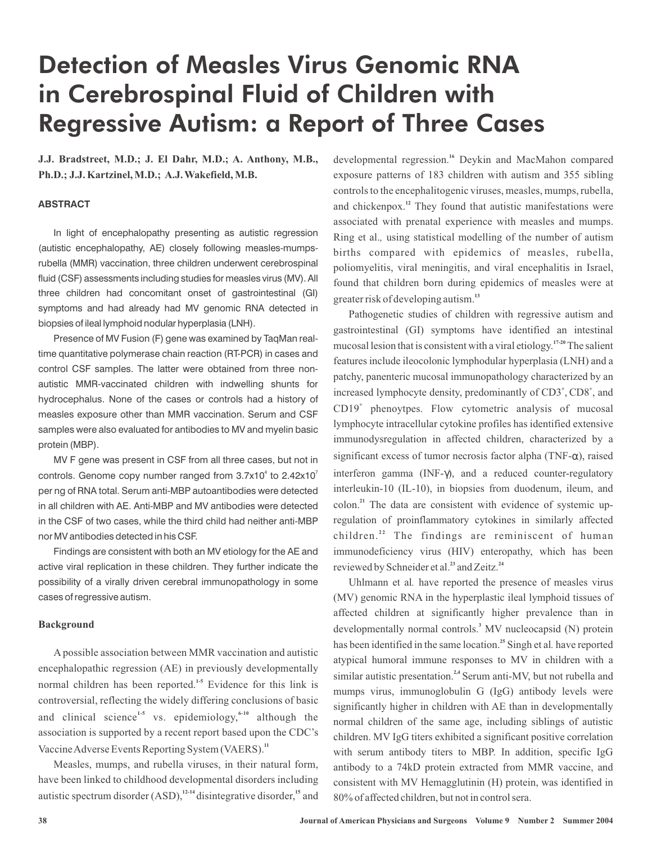# Detection of Measles Virus Genomic RNA in Cerebrospinal Fluid of Children with Regressive Autism: a Report of Three Cases

**J.J. Bradstreet, M.D.; J. El Dahr, M.D.; A. Anthony, M.B., Ph.D.; J.J. Kartzinel, M.D.; A.J. Wakefield, M.B.**

# **ABSTRACT**

In light of encephalopathy presenting as autistic regression (autistic encephalopathy, AE) closely following measles-mumpsrubella (MMR) vaccination, three children underwent cerebrospinal fluid (CSF) assessments including studies for measles virus (MV). All three children had concomitant onset of gastrointestinal (GI) symptoms and had already had MV genomic RNA detected in biopsies of ileal lymphoid nodular hyperplasia (LNH).

Presence of MV Fusion (F) gene was examined by TaqMan realtime quantitative polymerase chain reaction (RT-PCR) in cases and control CSF samples. The latter were obtained from three nonautistic MMR-vaccinated children with indwelling shunts for hydrocephalus. None of the cases or controls had a history of measles exposure other than MMR vaccination. Serum and CSF samples were also evaluated for antibodies to MV and myelin basic protein (MBP).

MV F gene was present in CSF from all three cases, but not in controls. Genome copy number ranged from  $3.7 \times 10^4$  to  $2.42 \times 10^7$ per ng of RNA total. Serum anti-MBP autoantibodies were detected in all children with AE. Anti-MBP and MV antibodies were detected in the CSF of two cases, while the third child had neither anti-MBP nor MV antibodies detected in his CSF.

Findings are consistent with both an MV etiology for the AE and active viral replication in these children. They further indicate the possibility of a virally driven cerebral immunopathology in some cases of regressive autism.

## **Background**

normal children has been reported.<sup>1-5</sup> Evidence for this link is and clinical science<sup>1-5</sup> vs. epidemiology,<sup>6-10</sup> although the Vaccine Adverse Events Reporting System (VAERS).<sup>11</sup> A possible association between MMR vaccination and autistic encephalopathic regression (AE) in previously developmentally controversial, reflecting the widely differing conclusions of basic association is supported by a recent report based upon the CDC's

autistic spectrum disorder (ASD),<sup>12-14</sup> disintegrative disorder,<sup>15</sup> and Measles, mumps, and rubella viruses, in their natural form, have been linked to childhood developmental disorders including

developmental regression.<sup>16</sup> Deykin and MacMahon compared exposure patterns of 183 children with autism and 355 sibling controls to the encephalitogenic viruses, measles, mumps, rubella, and chickenpox.<sup>12</sup> They found that autistic manifestations were associated with prenatal experience with measles and mumps. Ring et al., using statistical modelling of the number of autism births compared with epidemics of measles, rubella, poliomyelitis, viral meningitis, and viral encephalitis in Israel, found that children born during epidemics of measles were at greater risk of developing autism. **13**

Pathogenetic studies of children with regressive autism and gastrointestinal (GI) symptoms have identified an intestinal mucosal lesion that is consistent with a viral etiology.<sup>17-20</sup> The salient features include ileocolonic lymphodular hyperplasia (LNH) and a patchy, panenteric mucosal immunopathology characterized by an increased lymphocyte density, predominantly of CD3<sup>+</sup>, CD8<sup>+</sup>, and CD19<sup>+</sup> phenoytpes. Flow cytometric analysis of mucosal lymphocyte intracellular cytokine profiles has identified extensive immunodysregulation in affected children, characterized by a significant excess of tumor necrosis factor alpha (TNF- $\alpha$ ), raised interferon gamma (INF- $\gamma$ ), and a reduced counter-regulatory interleukin-10 (IL-10), in biopsies from duodenum, ileum, and colon.<sup>21</sup> The data are consistent with evidence of systemic upregulation of proinflammatory cytokines in similarly affected children.<sup>22</sup> The findings are reminiscent of human immunodeficiency virus (HIV) enteropathy, which has been reviewed by Schneider et al.<sup>23</sup> and Zeitz.<sup>24</sup>

Uhlmann et al. have reported the presence of measles virus (MV) genomic RNA in the hyperplastic ileal lymphoid tissues of affected children at significantly higher prevalence than in developmentally normal controls.<sup>3</sup> MV nucleocapsid (N) protein has been identified in the same location.<sup>25</sup> Singh et al. have reported atypical humoral immune responses to MV in children with a similar autistic presentation.<sup>2,4</sup> Serum anti-MV, but not rubella and mumps virus, immunoglobulin G (IgG) antibody levels were significantly higher in children with AE than in developmentally normal children of the same age, including siblings of autistic children. MV IgG titers exhibited a significant positive correlation with serum antibody titers to MBP. In addition, specific IgG antibody to a 74kD protein extracted from MMR vaccine, and consistent with MV Hemagglutinin (H) protein, was identified in 80% of affected children, but not in control sera.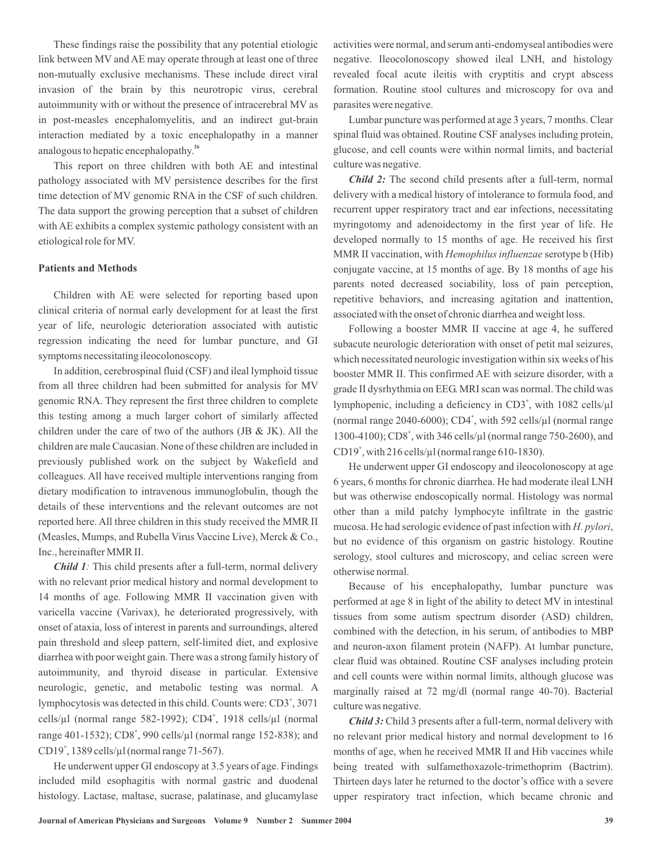These findings raise the possibility that any potential etiologic link between MV and AE may operate through at least one of three non-mutually exclusive mechanisms. These include direct viral invasion of the brain by this neurotropic virus, cerebral autoimmunity with or without the presence of intracerebral MV as in post-measles encephalomyelitis, and an indirect gut-brain interaction mediated by a toxic encephalopathy in a manner analogous to hepatic encephalopathy. **26**

This report on three children with both AE and intestinal pathology associated with MV persistence describes for the first time detection of MV genomic RNA in the CSF of such children. The data support the growing perception that a subset of children with AE exhibits a complex systemic pathology consistent with an etiological role for MV.

## **Patients and Methods**

Children with AE were selected for reporting based upon clinical criteria of normal early development for at least the first year of life, neurologic deterioration associated with autistic regression indicating the need for lumbar puncture, and GI symptoms necessitating ileocolonoscopy.

In addition, cerebrospinal fluid (CSF) and ileal lymphoid tissue from all three children had been submitted for analysis for MV genomic RNA. They represent the first three children to complete this testing among a much larger cohort of similarly affected children under the care of two of the authors (JB & JK). All the children are male Caucasian. None of these children are included in previously published work on the subject by Wakefield and colleagues. All have received multiple interventions ranging from dietary modification to intravenous immunoglobulin, though the details of these interventions and the relevant outcomes are not reported here. All three children in this study received the MMR II (Measles, Mumps, and Rubella Virus Vaccine Live), Merck & Co., Inc., hereinafter MMR II.

Child 1: This child presents after a full-term, normal delivery with no relevant prior medical history and normal development to 14 months of age. Following MMR II vaccination given with varicella vaccine (Varivax), he deteriorated progressively, with onset of ataxia, loss of interest in parents and surroundings, altered pain threshold and sleep pattern, self-limited diet, and explosive diarrhea with poor weight gain. There was a strong family history of autoimmunity, and thyroid disease in particular. Extensive neurologic, genetic, and metabolic testing was normal. A lymphocytosis was detected in this child. Counts were: CD3<sup>+</sup>, 3071 cells/µl (normal range 582-1992); CD4 , 1918 cells/µl (normal **+** range 401-1532); CD8<sup>+</sup>, 990 cells/µl (normal range 152-838); and CD19<sup>+</sup>, 1389 cells/µl (normal range 71-567).

He underwent upper GI endoscopy at 3.5 years of age. Findings included mild esophagitis with normal gastric and duodenal histology. Lactase, maltase, sucrase, palatinase, and glucamylase activities were normal, and serum anti-endomyseal antibodies were negative. Ileocolonoscopy showed ileal LNH, and histology revealed focal acute ileitis with cryptitis and crypt abscess formation. Routine stool cultures and microscopy for ova and parasites were negative.

Lumbar puncture was performed at age 3 years, 7 months. Clear spinal fluid was obtained. Routine CSF analyses including protein, glucose, and cell counts were within normal limits, and bacterial culture was negative.

Child 2: The second child presents after a full-term, normal delivery with a medical history of intolerance to formula food, and recurrent upper respiratory tract and ear infections, necessitating myringotomy and adenoidectomy in the first year of life. He developed normally to 15 months of age. He received his first MMR II vaccination, with Hemophilus influenzae serotype b (Hib) conjugate vaccine, at 15 months of age. By 18 months of age his parents noted decreased sociability, loss of pain perception, repetitive behaviors, and increasing agitation and inattention, associated with the onset of chronic diarrhea and weight loss.

Following a booster MMR II vaccine at age 4, he suffered subacute neurologic deterioration with onset of petit mal seizures, which necessitated neurologic investigation within six weeks of his booster MMR II. This confirmed AE with seizure disorder, with a grade II dysrhythmia on EEG. MRI scan was normal. The child was lymphopenic, including a deficiency in CD3<sup>+</sup>, with 1082 cells/µl (normal range 2040-6000); CD4<sup>+</sup>, with 592 cells/ $\mu$ l (normal range 1300-4100); CD8<sup>+</sup>, with 346 cells/ $\mu$ l (normal range 750-2600), and CD19<sup>+</sup>, with 216 cells/ $\mu$ l (normal range 610-1830).

He underwent upper GI endoscopy and ileocolonoscopy at age 6 years, 6 months for chronic diarrhea. He had moderate ileal LNH but was otherwise endoscopically normal. Histology was normal other than a mild patchy lymphocyte infiltrate in the gastric mucosa. He had serologic evidence of past infection with H. pylori, but no evidence of this organism on gastric histology. Routine serology, stool cultures and microscopy, and celiac screen were otherwise normal.

Because of his encephalopathy, lumbar puncture was performed at age 8 in light of the ability to detect MV in intestinal tissues from some autism spectrum disorder (ASD) children, combined with the detection, in his serum, of antibodies to MBP and neuron-axon filament protein (NAFP). At lumbar puncture, clear fluid was obtained. Routine CSF analyses including protein and cell counts were within normal limits, although glucose was marginally raised at 72 mg/dl (normal range 40-70). Bacterial culture was negative.

Child 3: Child 3 presents after a full-term, normal delivery with no relevant prior medical history and normal development to 16 months of age, when he received MMR II and Hib vaccines while being treated with sulfamethoxazole-trimethoprim (Bactrim). Thirteen days later he returned to the doctor's office with a severe upper respiratory tract infection, which became chronic and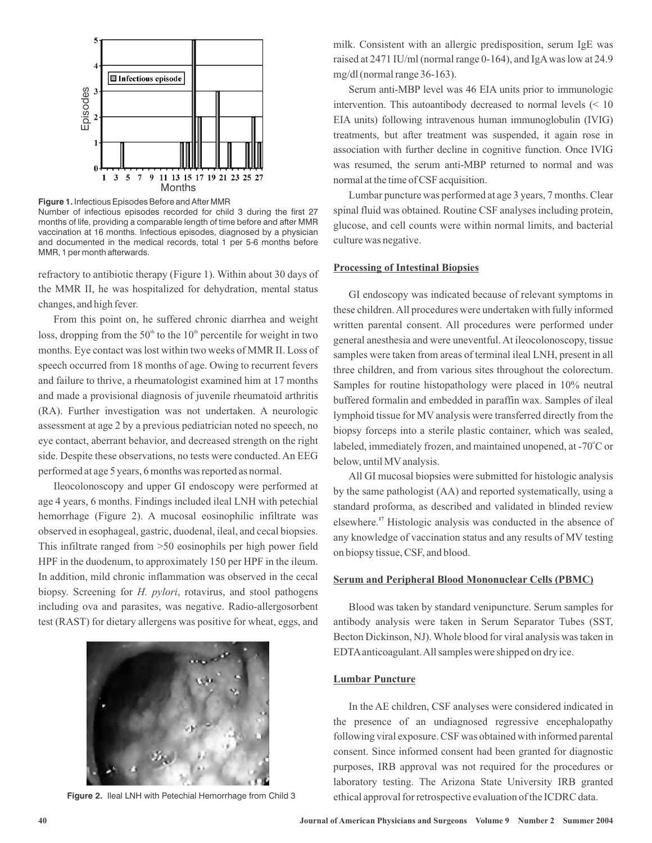

Number of infectious episodes recorded for child 3 during the first 27 months of life, providing a comparable length of time before and after MMR vaccination at 16 months. Infectious episodes, diagnosed by a physician and documented in the medical records, total 1 per 5-6 months before MMR, 1 per month afterwards.

refractory to antibiotic therapy (Figure 1). Within about 30 days of the MMR II, he was hospitalized for dehydration, mental status changes, and high fever.

From this point on, he suffered chronic diarrhea and weight loss, dropping from the 50<sup>th</sup> to the 10<sup>th</sup> percentile for weight in two months. Eye contact was lost within two weeks of MMR II. Loss of speech occurred from 18 months of age. Owing to recurrent fevers and failure to thrive, a rheumatologist examined him at 17 months and made a provisional diagnosis of juvenile rheumatoid arthritis (RA). Further investigation was not undertaken. A neurologic assessment at age 2 by a previous pediatrician noted no speech, no eye contact, aberrant behavior, and decreased strength on the right side. Despite these observations, no tests were conducted. An EEG performed at age 5 years, 6 months was reported as normal.

Ileocolonoscopy and upper GI endoscopy were performed at age 4 years, 6 months. Findings included ileal LNH with petechial hemorrhage (Figure 2). A mucosal eosinophilic infiltrate was observed in esophageal, gastric, duodenal, ileal, and cecal biopsies. This infiltrate ranged from >50 eosinophils per high power field HPF in the duodenum, to approximately 150 per HPF in the ileum. In addition, mild chronic inflammation was observed in the cecal biopsy. Screening for *H. pylori*, rotavirus, and stool pathogens including ova and parasites, was negative. Radio-allergosorbent test (RAST) for dietary allergens was positive for wheat, eggs, and



**Figure 2.** Ileal LNH with Petechial Hemorrhage from Child 3

milk. Consistent with an allergic predisposition, serum IgE was raised at 2471 IU/ml (normal range 0-164), and IgAwas low at 24.9 mg/dl (normal range 36-163).

Serum anti-MBP level was 46 EIA units prior to immunologic intervention. This autoantibody decreased to normal levels (< 10 EIA units) following intravenous human immunoglobulin (IVIG) treatments, but after treatment was suspended, it again rose in association with further decline in cognitive function. Once IVIG was resumed, the serum anti-MBP returned to normal and was normal at the time of CSF acquisition.

Lumbar puncture was performed at age 3 years, 7 months. Clear spinal fluid was obtained. Routine CSF analyses including protein, glucose, and cell counts were within normal limits, and bacterial culture was negative.

## **Processing of Intestinal Biopsies**

GI endoscopy was indicated because of relevant symptoms in these children.All procedures were undertaken with fully informed written parental consent. All procedures were performed under general anesthesia and were uneventful. At ileocolonoscopy, tissue samples were taken from areas of terminal ileal LNH, present in all three children, and from various sites throughout the colorectum. Samples for routine histopathology were placed in 10% neutral buffered formalin and embedded in paraffin wax. Samples of ileal lymphoid tissue for MV analysis were transferred directly from the biopsy forceps into a sterile plastic container, which was sealed, labeled, immediately frozen, and maintained unopened, at -70°C or below, until MV analysis.

All GI mucosal biopsies were submitted for histologic analysis by the same pathologist (AA) and reported systematically, using a standard proforma, as described and validated in blinded review elsewhere.<sup>17</sup> Histologic analysis was conducted in the absence of any knowledge of vaccination status and any results of MV testing on biopsy tissue, CSF, and blood.

## **Serum and Peripheral Blood Mononuclear Cells (PBMC)**

Blood was taken by standard venipuncture. Serum samples for antibody analysis were taken in Serum Separator Tubes (SST, Becton Dickinson, NJ).Whole blood for viral analysis was taken in EDTAanticoagulant.All samples were shipped on dry ice.

## **Lumbar Puncture**

In the AE children, CSF analyses were considered indicated in the presence of an undiagnosed regressive encephalopathy following viral exposure. CSF was obtained with informed parental consent. Since informed consent had been granted for diagnostic purposes, IRB approval was not required for the procedures or laboratory testing. The Arizona State University IRB granted ethical approval for retrospective evaluation of the ICDRC data.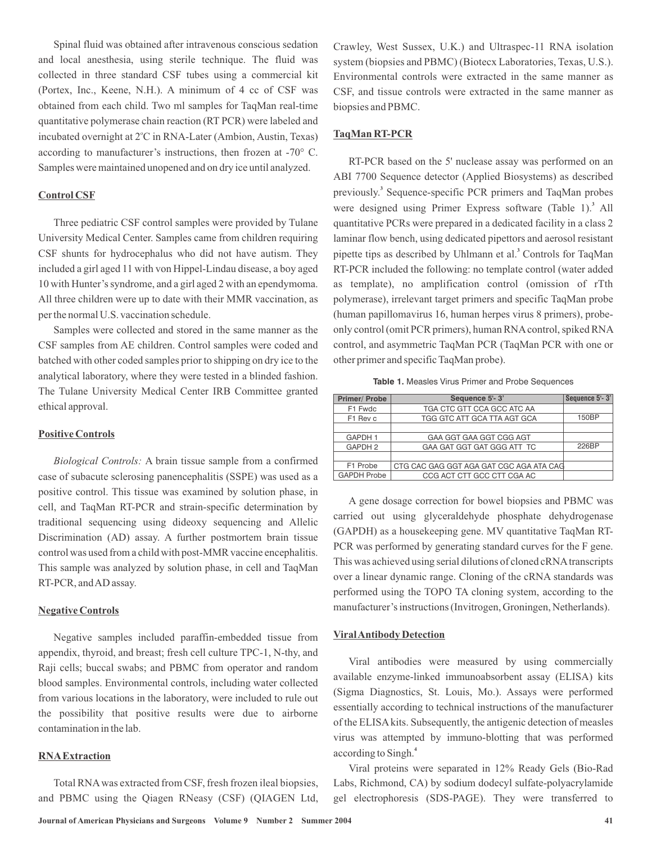Spinal fluid was obtained after intravenous conscious sedation and local anesthesia, using sterile technique. The fluid was collected in three standard CSF tubes using a commercial kit (Portex, Inc., Keene, N.H.). A minimum of 4 cc of CSF was obtained from each child. Two ml samples for TaqMan real-time quantitative polymerase chain reaction (RT PCR) were labeled and incubated overnight at 2°C in RNA-Later (Ambion, Austin, Texas) according to manufacturer's instructions, then frozen at -70° C. Samples were maintained unopened and on dry ice until analyzed.

# **Control CSF**

Three pediatric CSF control samples were provided by Tulane University Medical Center. Samples came from children requiring CSF shunts for hydrocephalus who did not have autism. They included a girl aged 11 with von Hippel-Lindau disease, a boy aged 10 with Hunter's syndrome, and a girl aged 2 with an ependymoma. All three children were up to date with their MMR vaccination, as per the normal U.S. vaccination schedule.

Samples were collected and stored in the same manner as the CSF samples from AE children. Control samples were coded and batched with other coded samples prior to shipping on dry ice to the analytical laboratory, where they were tested in a blinded fashion. The Tulane University Medical Center IRB Committee granted ethical approval.

## **Positive Controls**

Biological Controls: A brain tissue sample from a confirmed case of subacute sclerosing panencephalitis (SSPE) was used as a positive control. This tissue was examined by solution phase, in cell, and TaqMan RT-PCR and strain-specific determination by traditional sequencing using dideoxy sequencing and Allelic Discrimination (AD) assay. A further postmortem brain tissue control was used from a child with post-MMR vaccine encephalitis. This sample was analyzed by solution phase, in cell and TaqMan RT-PCR, andAD assay.

### **Negative Controls**

Negative samples included paraffin-embedded tissue from appendix, thyroid, and breast; fresh cell culture TPC-1, N-thy, and Raji cells; buccal swabs; and PBMC from operator and random blood samples. Environmental controls, including water collected from various locations in the laboratory, were included to rule out the possibility that positive results were due to airborne contamination in the lab.

## **RNAExtraction**

Total RNAwas extracted from CSF, fresh frozen ileal biopsies, and PBMC using the Qiagen RNeasy (CSF) (QIAGEN Ltd, Crawley, West Sussex, U.K.) and Ultraspec-11 RNA isolation system (biopsies and PBMC) (Biotecx Laboratories, Texas, U.S.). Environmental controls were extracted in the same manner as CSF, and tissue controls were extracted in the same manner as biopsies and PBMC.

## **TaqMan RT-PCR**

RT-PCR based on the 5' nuclease assay was performed on an ABI 7700 Sequence detector (Applied Biosystems) as described previously.<sup>3</sup> Sequence-specific PCR primers and TaqMan probes were designed using Primer Express software (Table 1).<sup>3</sup> All quantitative PCRs were prepared in a dedicated facility in a class 2 laminar flow bench, using dedicated pipettors and aerosol resistant pipette tips as described by Uhlmann et al.<sup>3</sup> Controls for TaqMan RT-PCR included the following: no template control (water added as template), no amplification control (omission of rTth polymerase), irrelevant target primers and specific TaqMan probe (human papillomavirus 16, human herpes virus 8 primers), probeonly control (omit PCR primers), human RNAcontrol, spiked RNA control, and asymmetric TaqMan PCR (TaqMan PCR with one or other primer and specific TaqMan probe).

**Table 1.** Measles Virus Primer and Probe Sequences

| Primer/ Probe      | Sequence 5'-3'                          | Sequence 5'-3' |
|--------------------|-----------------------------------------|----------------|
| F1 Fwdc            | TGA CTC GTT CCA GCC ATC AA              |                |
| F1 Rev c           | TGG GTC ATT GCA TTA AGT GCA             | 150BP          |
|                    |                                         |                |
| GAPDH 1            | GAA GGT GAA GGT CGG AGT                 |                |
| GAPDH 2            | GAA GAT GGT GAT GGG ATT TC              | 226BP          |
|                    |                                         |                |
| F1 Probe           | CTG CAC GAG GGT AGA GAT CGC AGA ATA CAG |                |
| <b>GAPDH Probe</b> | CCG ACT CTT GCC CTT CGA AC              |                |

A gene dosage correction for bowel biopsies and PBMC was carried out using glyceraldehyde phosphate dehydrogenase (GAPDH) as a housekeeping gene. MV quantitative TaqMan RT-PCR was performed by generating standard curves for the F gene. This was achieved using serial dilutions of cloned cRNAtranscripts over a linear dynamic range. Cloning of the cRNA standards was performed using the TOPO TA cloning system, according to the manufacturer's instructions (Invitrogen, Groningen, Netherlands).

#### **ViralAntibody Detection**

Viral antibodies were measured by using commercially available enzyme-linked immunoabsorbent assay (ELISA) kits (Sigma Diagnostics, St. Louis, Mo.). Assays were performed essentially according to technical instructions of the manufacturer of the ELISA kits. Subsequently, the antigenic detection of measles virus was attempted by immuno-blotting that was performed according to Singh. **4**

Viral proteins were separated in 12% Ready Gels (Bio-Rad Labs, Richmond, CA) by sodium dodecyl sulfate-polyacrylamide gel electrophoresis (SDS-PAGE). They were transferred to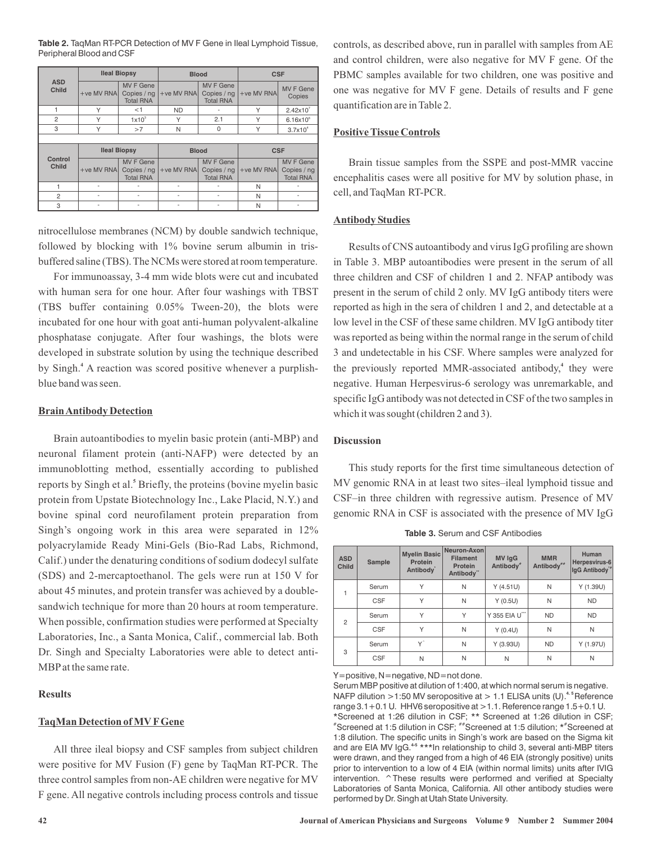**Table 2.** TaqMan RT-PCR Detection of MV F Gene in Ileal Lymphoid Tissue, Peripheral Blood and CSF

| <b>ASD</b><br><b>Child</b> | <b>Ileal Biopsy</b> |                                                     | <b>Blood</b> |                                                     | <b>CSF</b>   |                                                     |  |  |
|----------------------------|---------------------|-----------------------------------------------------|--------------|-----------------------------------------------------|--------------|-----------------------------------------------------|--|--|
|                            | $+ve$ MV RNA        | <b>MV F Gene</b><br>Copies / ng<br><b>Total RNA</b> | $+ve$ MV RNA | <b>MV F Gene</b><br>Copies / ng<br><b>Total RNA</b> | $+ve$ MV RNA | <b>MV F Gene</b><br>Copies                          |  |  |
| 1                          | Υ                   | $<$ 1                                               | <b>ND</b>    |                                                     | Υ            | 2.42x10 <sup>7</sup>                                |  |  |
| $\overline{2}$             | Υ                   | $1x10^3$                                            | Υ            | 2.1                                                 | Υ            | $6.16x10^{6}$                                       |  |  |
| 3                          | Υ                   | >7                                                  | N            | $\mathbf{0}$                                        | Υ            | $3.7x10^{4}$                                        |  |  |
|                            |                     |                                                     |              |                                                     |              |                                                     |  |  |
| Control<br>Child           | <b>Ileal Biopsy</b> |                                                     | <b>Blood</b> |                                                     | <b>CSF</b>   |                                                     |  |  |
|                            | $+ve$ MV RNA        | <b>MV F Gene</b><br>Copies / ng<br><b>Total RNA</b> | $+ve$ MV RNA | <b>MV F Gene</b><br>Copies / ng<br><b>Total RNA</b> | $+ve$ MV RNA | <b>MV F Gene</b><br>Copies / ng<br><b>Total RNA</b> |  |  |
|                            |                     |                                                     |              |                                                     | N            |                                                     |  |  |
| $\overline{2}$             | $\overline{a}$      | ٠                                                   |              |                                                     | N            |                                                     |  |  |
| 3                          | ٠                   |                                                     |              | ٠                                                   | N            |                                                     |  |  |

nitrocellulose membranes (NCM) by double sandwich technique, followed by blocking with 1% bovine serum albumin in trisbuffered saline (TBS). The NCMs were stored at room temperature.

For immunoassay, 3-4 mm wide blots were cut and incubated with human sera for one hour. After four washings with TBST (TBS buffer containing 0.05% Tween-20), the blots were incubated for one hour with goat anti-human polyvalent-alkaline phosphatase conjugate. After four washings, the blots were developed in substrate solution by using the technique described by Singh.<sup>4</sup> A reaction was scored positive whenever a purplishblue band was seen.

### **BrainAntibody Detection**

Brain autoantibodies to myelin basic protein (anti-MBP) and neuronal filament protein (anti-NAFP) were detected by an immunoblotting method, essentially according to published reports by Singh et al.<sup>5</sup> Briefly, the proteins (bovine myelin basic protein from Upstate Biotechnology Inc., Lake Placid, N.Y.) and bovine spinal cord neurofilament protein preparation from Singh's ongoing work in this area were separated in 12% polyacrylamide Ready Mini-Gels (Bio-Rad Labs, Richmond, Calif.) under the denaturing conditions of sodium dodecyl sulfate (SDS) and 2-mercaptoethanol. The gels were run at 150 V for about 45 minutes, and protein transfer was achieved by a doublesandwich technique for more than 20 hours at room temperature. When possible, confirmation studies were performed at Specialty Laboratories, Inc., a Santa Monica, Calif., commercial lab. Both Dr. Singh and Specialty Laboratories were able to detect anti-MBPatthe same rate.

## **Results**

#### **TaqMan Detection of MV FGene**

All three ileal biopsy and CSF samples from subject children were positive for MV Fusion (F) gene by TaqMan RT-PCR. The three control samples from non-AE children were negative for MV F gene. All negative controls including process controls and tissue

controls, as described above, run in parallel with samples from AE and control children, were also negative for MV F gene. Of the PBMC samples available for two children, one was positive and one was negative for MV F gene. Details of results and F gene quantification are in Table 2.

## **Positive Tissue Controls**

Brain tissue samples from the SSPE and post-MMR vaccine encephalitis cases were all positive for MV by solution phase, in cell, and TaqMan RT-PCR.

### **Antibody Studies**

Results of CNS autoantibody and virus IgG profiling are shown in Table 3. MBP autoantibodies were present in the serum of all three children and CSF of children 1 and 2. NFAP antibody was present in the serum of child 2 only. MV IgG antibody titers were reported as high in the sera of children 1 and 2, and detectable at a low level in the CSF of these same children. MV IgG antibody titer was reported as being within the normal range in the serum of child 3 and undetectable in his CSF. Where samples were analyzed for the previously reported MMR-associated antibody,<sup>4</sup> they were negative. Human Herpesvirus-6 serology was unremarkable, and specific IgG antibody was not detected in CSF of the two samples in which it was sought (children 2 and 3).

## **Discussion**

This study reports for the first time simultaneous detection of MV genomic RNA in at least two sites–ileal lymphoid tissue and CSF–in three children with regressive autism. Presence of MV genomic RNA in CSF is associated with the presence of MV IgG

| <b>Table 3. Serum and CSF Antibodies</b> |
|------------------------------------------|
|------------------------------------------|

| <b>ASD</b><br><b>Child</b> | Sample     | <b>Myelin Basic</b><br>Protein<br>Antibody <sup>®</sup> | Neuron-Axon<br><b>Filament</b><br>Protein<br>Antibody" | <b>MV IgG</b><br>Antibody" | <b>MMR</b><br>Antibody <sup>##</sup> | Human<br>Herpesvirus-6<br>IqG Antibody <sup>*</sup> |
|----------------------------|------------|---------------------------------------------------------|--------------------------------------------------------|----------------------------|--------------------------------------|-----------------------------------------------------|
|                            | Serum      | Υ                                                       | N                                                      | Y(4.51U)                   | N                                    | Y(1.39U)                                            |
|                            | <b>CSF</b> | Υ                                                       | N                                                      | Y(0.5U)                    | N                                    | <b>ND</b>                                           |
| $\overline{2}$             | Serum      | Υ                                                       | Υ                                                      | Y 355 EIA U"               | <b>ND</b>                            | <b>ND</b>                                           |
|                            | <b>CSF</b> | Υ                                                       | N                                                      | Y(0.4U)                    | N                                    | N                                                   |
| 3                          | Serum      | Y^                                                      | N                                                      | $Y$ (3.93U)                | <b>ND</b>                            | Y(1.97U)                                            |
|                            | <b>CSF</b> | N                                                       | N                                                      | N                          | N                                    | N                                                   |

Y=positive, N=negative, ND=not done.

Serum MBP positive at dilution of 1:400, at which normal serum is negative. NAFP dilution >1:50 MV seropositive at > 1.1 ELISA units (U).<sup>4.5</sup> Reference range 3.1+0.1 U. HHV6 seropositive at >1.1. Reference range 1.5+0.1 U. \*Screened at 1:26 dilution in CSF; \*\* Screened at 1:26 dilution in CSF;  $^*$ Screened at 1:5 dilution in CSF;  $^{**}$ Screened at 1:5 dilution;  $^{\star*}$ Screened at 1:8 dilution. The specific units in Singh's work are based on the Sigma kit and are EIA MV IgG.<sup>45</sup> \*\*\*In relationship to child 3, several anti-MBP titers were drawn, and they ranged from a high of 46 EIA (strongly positive) units prior to intervention to a low of 4 EIA (within normal limits) units after IVIG intervention. ^These results were performed and verified at Specialty Laboratories of Santa Monica, California. All other antibody studies were performed by Dr. Singh at Utah State University.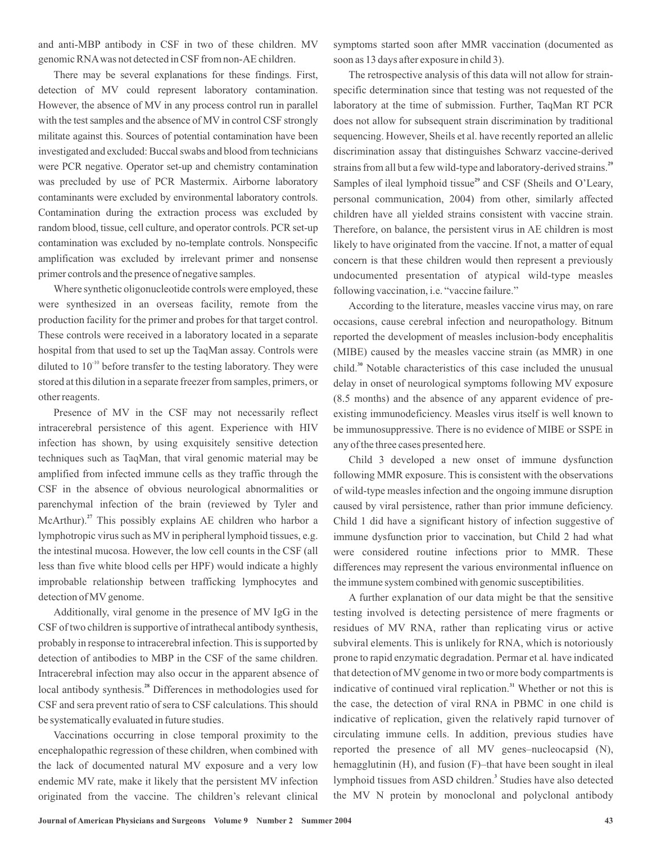and anti-MBP antibody in CSF in two of these children. MV genomic RNAwas not detected in CSF from non-AE children.

There may be several explanations for these findings. First, detection of MV could represent laboratory contamination. However, the absence of MV in any process control run in parallel with the test samples and the absence of MV in control CSF strongly militate against this. Sources of potential contamination have been investigated and excluded: Buccal swabs and blood from technicians were PCR negative. Operator set-up and chemistry contamination was precluded by use of PCR Mastermix. Airborne laboratory contaminants were excluded by environmental laboratory controls. Contamination during the extraction process was excluded by random blood, tissue, cell culture, and operator controls. PCR set-up contamination was excluded by no-template controls. Nonspecific amplification was excluded by irrelevant primer and nonsense primer controls and the presence of negative samples.

Where synthetic oligonucleotide controls were employed, these were synthesized in an overseas facility, remote from the production facility for the primer and probes for that target control. These controls were received in a laboratory located in a separate hospital from that used to set up the TaqMan assay. Controls were diluted to  $10^{-10}$  before transfer to the testing laboratory. They were stored at this dilution in a separate freezer from samples, primers, or other reagents.

Presence of MV in the CSF may not necessarily reflect intracerebral persistence of this agent. Experience with HIV infection has shown, by using exquisitely sensitive detection techniques such as TaqMan, that viral genomic material may be amplified from infected immune cells as they traffic through the CSF in the absence of obvious neurological abnormalities or parenchymal infection of the brain (reviewed by Tyler and McArthur).<sup>27</sup> This possibly explains AE children who harbor a lymphotropic virus such as MV in peripheral lymphoid tissues, e.g. the intestinal mucosa. However, the low cell counts in the CSF (all less than five white blood cells per HPF) would indicate a highly improbable relationship between trafficking lymphocytes and detection of MV genome.

Additionally, viral genome in the presence of MV IgG in the CSF of two children is supportive of intrathecal antibody synthesis, probably in response to intracerebral infection. This is supported by detection of antibodies to MBP in the CSF of the same children. Intracerebral infection may also occur in the apparent absence of local antibody synthesis.<sup>28</sup> Differences in methodologies used for CSF and sera prevent ratio of sera to CSF calculations. This should be systematically evaluated in future studies.

Vaccinations occurring in close temporal proximity to the encephalopathic regression of these children, when combined with the lack of documented natural MV exposure and a very low endemic MV rate, make it likely that the persistent MV infection originated from the vaccine. The children's relevant clinical symptoms started soon after MMR vaccination (documented as soon as 13 days after exposure in child 3).

The retrospective analysis of this data will not allow for strainspecific determination since that testing was not requested of the laboratory at the time of submission. Further, TaqMan RT PCR does not allow for subsequent strain discrimination by traditional sequencing. However, Sheils et al. have recently reported an allelic discrimination assay that distinguishes Schwarz vaccine-derived strains from all but a few wild-type and laboratory-derived strains. **29** Samples of ileal lymphoid tissue<sup>29</sup> and CSF (Sheils and O'Leary, personal communication, 2004) from other, similarly affected children have all yielded strains consistent with vaccine strain. Therefore, on balance, the persistent virus in AE children is most likely to have originated from the vaccine. If not, a matter of equal concern is that these children would then represent a previously undocumented presentation of atypical wild-type measles following vaccination, i.e. "vaccine failure."

According to the literature, measles vaccine virus may, on rare occasions, cause cerebral infection and neuropathology. Bitnum reported the development of measles inclusion-body encephalitis (MIBE) caused by the measles vaccine strain (as MMR) in one child.<sup>30</sup> Notable characteristics of this case included the unusual delay in onset of neurological symptoms following MV exposure (8.5 months) and the absence of any apparent evidence of preexisting immunodeficiency. Measles virus itself is well known to be immunosuppressive. There is no evidence of MIBE or SSPE in any of the three cases presented here.

Child 3 developed a new onset of immune dysfunction following MMR exposure. This is consistent with the observations of wild-type measles infection and the ongoing immune disruption caused by viral persistence, rather than prior immune deficiency. Child 1 did have a significant history of infection suggestive of immune dysfunction prior to vaccination, but Child 2 had what were considered routine infections prior to MMR. These differences may represent the various environmental influence on the immune system combined with genomic susceptibilities.

A further explanation of our data might be that the sensitive testing involved is detecting persistence of mere fragments or residues of MV RNA, rather than replicating virus or active subviral elements. This is unlikely for RNA, which is notoriously prone to rapid enzymatic degradation. Permar et al have indicated *.* that detection of MV genome in two or more body compartments is indicative of continued viral replication.<sup>31</sup> Whether or not this is the case, the detection of viral RNA in PBMC in one child is indicative of replication, given the relatively rapid turnover of circulating immune cells. In addition, previous studies have reported the presence of all MV genes–nucleocapsid (N), hemagglutinin (H), and fusion (F)–that have been sought in ileal lymphoid tissues from ASD children.<sup>3</sup> Studies have also detected the MV N protein by monoclonal and polyclonal antibody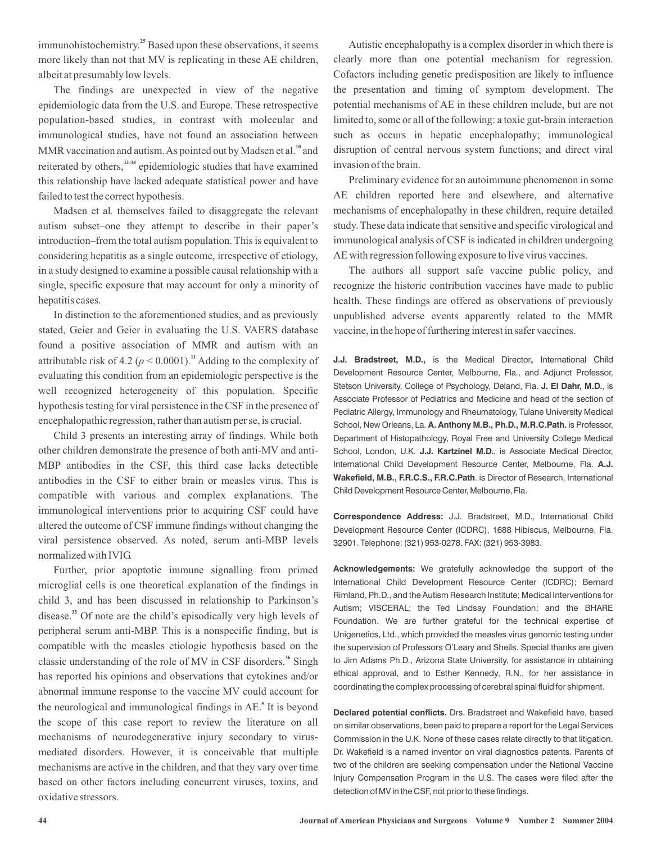immunohistochemistry.<sup>25</sup> Based upon these observations, it seems more likely than not that MV is replicating in these AE children, albeit at presumably low levels.

The findings are unexpected in view of the negative epidemiologic data from the U.S. and Europe. These retrospective population-based studies, in contrast with molecular and immunological studies, have not found an association between MMR vaccination and autism. As pointed out by Madsen et al.<sup>10</sup> and reiterated by others,<sup>32-34</sup> epidemiologic studies that have examined this relationship have lacked adequate statistical power and have failed to test the correct hypothesis.

Madsen et al. themselves failed to disaggregate the relevant autism subset–one they attempt to describe in their paper's introduction–from the total autism population. This is equivalent to considering hepatitis as a single outcome, irrespective of etiology, in a study designed to examine a possible causal relationship with a single, specific exposure that may account for only a minority of hepatitis cases.

In distinction to the aforementioned studies, and as previously stated, Geier and Geier in evaluating the U.S. VAERS database found a positive association of MMR and autism with an attributable risk of 4.2 ( $p < 0.0001$ ).<sup>11</sup> Adding to the complexity of evaluating this condition from an epidemiologic perspective is the well recognized heterogeneity of this population. Specific hypothesis testing for viral persistence in the CSF in the presence of encephalopathic regression, rather than autism per se, is crucial.

Child 3 presents an interesting array of findings. While both other children demonstrate the presence of both anti-MV and anti-MBP antibodies in the CSF, this third case lacks detectible antibodies in the CSF to either brain or measles virus. This is compatible with various and complex explanations. The immunological interventions prior to acquiring CSF could have altered the outcome of CSF immune findings without changing the viral persistence observed. As noted, serum anti-MBP levels normalized with IVIG.

Further, prior apoptotic immune signalling from primed microglial cells is one theoretical explanation of the findings in child 3, and has been discussed in relationship to Parkinson's disease.<sup>35</sup> Of note are the child's episodically very high levels of peripheral serum anti-MBP. This is a nonspecific finding, but is compatible with the measles etiologic hypothesis based on the classic understanding of the role of MV in CSF disorders.<sup>36</sup> Singh has reported his opinions and observations that cytokines and/or abnormal immune response to the vaccine MV could account for the neurological and immunological findings in AE.<sup>5</sup> It is beyond the scope of this case report to review the literature on all mechanisms of neurodegenerative injury secondary to virusmediated disorders. However, it is conceivable that multiple mechanisms are active in the children, and that they vary over time based on other factors including concurrent viruses, toxins, and oxidative stressors.

Autistic encephalopathy is a complex disorder in which there is clearly more than one potential mechanism for regression. Cofactors including genetic predisposition are likely to influence the presentation and timing of symptom development. The potential mechanisms of AE in these children include, but are not limited to, some or all of the following: a toxic gut-brain interaction such as occurs in hepatic encephalopathy; immunological disruption of central nervous system functions; and direct viral invasion of the brain.

Preliminary evidence for an autoimmune phenomenon in some AE children reported here and elsewhere, and alternative mechanisms of encephalopathy in these children, require detailed study. These data indicate that sensitive and specific virological and immunological analysis of CSF is indicated in children undergoing AE with regression following exposure to live virus vaccines.

The authors all support safe vaccine public policy, and recognize the historic contribution vaccines have made to public health. These findings are offered as observations of previously unpublished adverse events apparently related to the MMR vaccine, in the hope of furthering interest in safer vaccines.

**J.J. Bradstreet, M.D.,** is the Medical Director, International Child Stetson University, College of Psychology, Deland, Fla. J. El Dahr, M.D., is School, New Orleans, La. A. Anthony M.B., Ph.D., M.R.C.Path. is Professor, School, London, U.K. **J.J. Kartzinel M.D.**, is Associate Medical Director, International Child Development Resource Center, Melbourne, Fla. A.J. **Wakefield, M.B., F.R.C.S., F.R.C.Path** . is Director of Research, International Development Resource Center, Melbourne, Fla., and Adjunct Professor, Associate Professor of Pediatrics and Medicine and head of the section of Pediatric Allergy, Immunology and Rheumatology, Tulane University Medical Department of Histopathology, Royal Free and University College Medical Child Development Resource Center, Melbourne, Fla.

**Correspondence Address:** J.J. Bradstreet, M.D., International Child Development Resource Center (ICDRC), 1688 Hibiscus, Melbourne, Fla. 32901. Telephone: (321) 953-0278. FAX: (321) 953-3983.

**Acknowledgements:** We gratefully acknowledge the support of the International Child Development Resource Center (ICDRC); Bernard Rimland, Ph.D., and the Autism Research Institute; Medical Interventions for Autism; VISCERAL; the Ted Lindsay Foundation; and the BHARE Foundation. We are further grateful for the technical expertise of Unigenetics, Ltd., which provided the measles virus genomic testing under the supervision of Professors O'Leary and Sheils. Special thanks are given to Jim Adams Ph.D., Arizona State University, for assistance in obtaining ethical approval, and to Esther Kennedy, R.N., for her assistance in coordinating the complex processing of cerebral spinal fluid for shipment.

Declared potential conflicts. Drs. Bradstreet and Wakefield have, based on similar observations, been paid to prepare a report for the Legal Services Commission in the U.K. None of these cases relate directly to that litigation. Dr. Wakefield is a named inventor on viral diagnostics patents. Parents of two of the children are seeking compensation under the National Vaccine Injury Compensation Program in the U.S. The cases were filed after the detection of MV in the CSF, not prior to these findings.